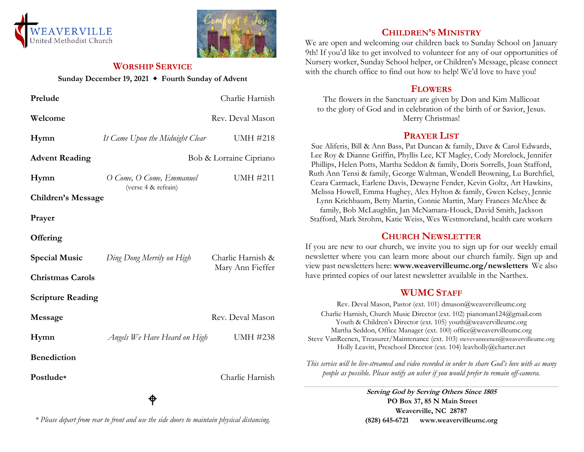



#### **WORSHIP SERVICE**

**Sunday December 19, 2021 Fourth Sunday of Advent**

| Prelude                   |                                                 | Charlie Harnish   |
|---------------------------|-------------------------------------------------|-------------------|
| Welcome                   |                                                 | Rev. Deval Mason  |
| Hymn                      | It Came Upon the Midnight Clear                 | UMH #218          |
| <b>Advent Reading</b>     | Bob & Lorraine Cipriano                         |                   |
| Hymn                      | O Come, O Come, Emmanuel<br>(verse 4 & refrain) | <b>UMH #211</b>   |
| <b>Children's Message</b> |                                                 |                   |
| Prayer                    |                                                 |                   |
| Offering                  |                                                 |                   |
| <b>Special Music</b>      | Ding Dong Merrily on High                       | Charlie Harnish & |
| <b>Christmas Carols</b>   |                                                 | Mary Ann Fieffer  |
| <b>Scripture Reading</b>  |                                                 |                   |
| Message                   |                                                 | Rev. Deval Mason  |
| Hymn                      | Angels We Have Heard on High                    | <b>UMH #238</b>   |
| <b>Benediction</b>        |                                                 |                   |
| Postlude*                 |                                                 | Charlie Harnish   |
|                           |                                                 |                   |

## **CHILDREN'S MINISTRY**

We are open and welcoming our children back to Sunday School on January 9th! If you'd like to get involved to volunteer for any of our opportunities of Nursery worker, Sunday School helper, or Children's Message, please connect with the church office to find out how to help! We'd love to have you!

## **FLOWERS**

The flowers in the Sanctuary are given by Don and Kim Mallicoat to the glory of God and in celebration of the birth of or Savior, Jesus. Merry Christmas!

## **PRAYER LIST**

Sue Aliferis, Bill & Ann Bass, Pat Duncan & family, Dave & Carol Edwards, Lee Roy & Dianne Griffin, Phyllis Lee, KT Magley, Cody Morelock, Jennifer Phillips, Helen Potts, Martha Seddon & family, Doris Sorrells, Joan Stafford, Ruth Ann Tensi & family, George Waltman, Wendell Browning, Lu Burchfiel, Ceara Carmack, Earlene Davis, Dewayne Fender, Kevin Goltz, Art Hawkins, Melissa Howell, Emma Hughey, Alex Hylton & family, Gwen Kelsey, Jennie Lynn Krichbaum, Betty Martin, Connie Martin, Mary Frances McAbee & family, Bob McLaughlin, Jan McNamara-Houck, David Smith, Jackson Stafford, Mark Strohm, Katie Weiss, Wes Westmoreland, health care workers

# **CHURCH NEWSLETTER**

If you are new to our church, we invite you to sign up for our weekly email newsletter where you can learn more about our church family. Sign up and view past newsletters here: **www.weavervilleumc.org/newsletters** We also have printed copies of our latest newsletter available in the Narthex.

# **WUMC STAFF**

Rev. Deval Mason, Pastor (ext. 101) dmason@weavervilleumc.org Charlie Harnish, Church Music Director (ext. 102) pianoman124@gmail.com Youth & Children's Director (ext. 105) youth@weavervilleumc.org Martha Seddon, Office Manager (ext. 100) office@weavervilleumc.org Steve VanReenen, Treasurer/Maintenance (ext. 103) stevevanreenen@weavervilleumc.org Holly Leavitt, Preschool Director (ext. 104) leavholly@charter.net

*This service will be live-streamed and video recorded in order to share God's love with as many people as possible. Please notify an usher if you would prefer to remain off-camera.*

> **Serving God by Serving Others Since 1805 PO Box 37, 85 N Main Street Weaverville, NC 28787 (828) 645-6721 [www.weavervilleumc.org](http://www.weavervilleumc.org/)**

*\* Please depart from rear to front and use the side doors to maintain physical distancing.*